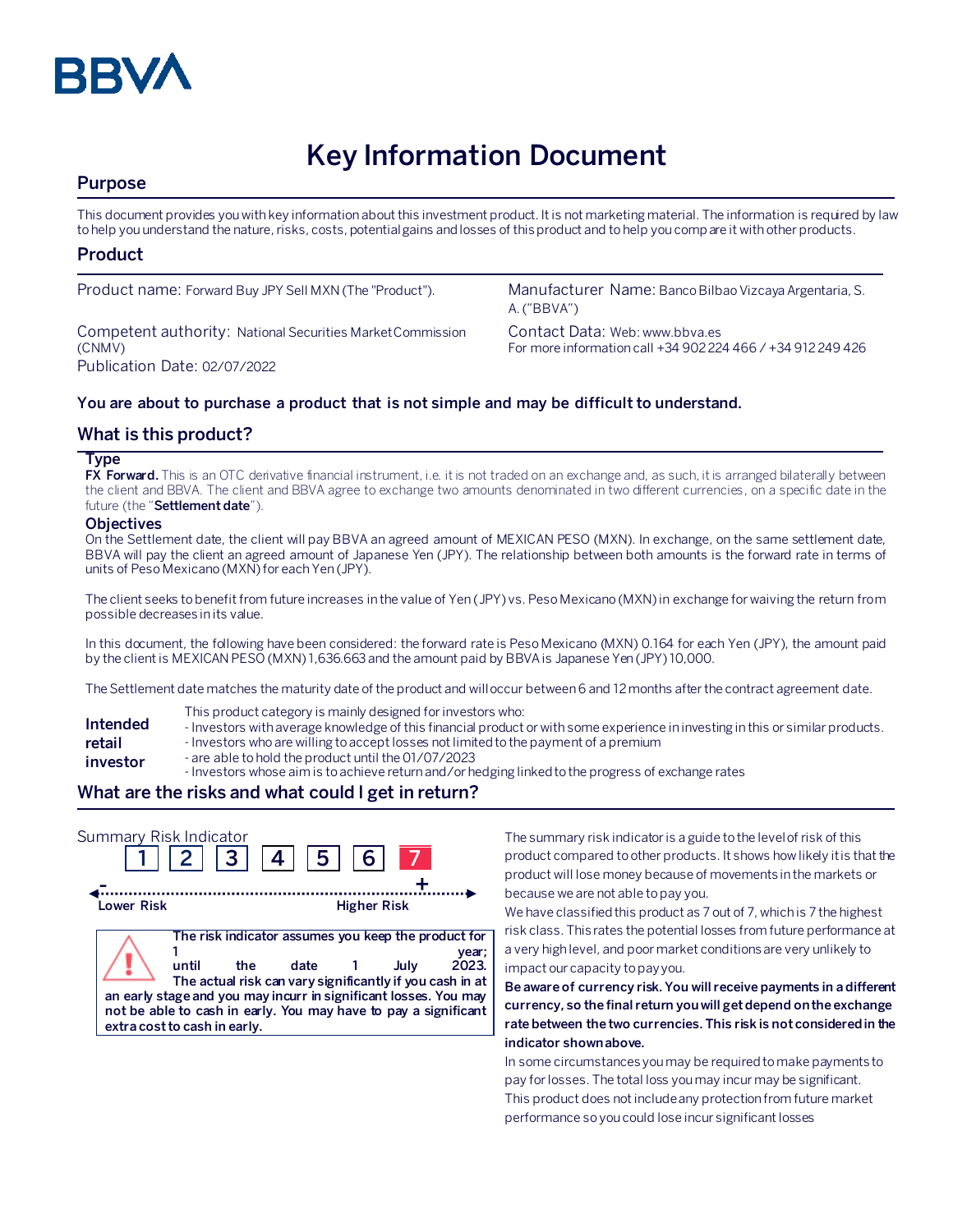

# **Key Information Document**

## **Purpose**

This document provides you with key information about this investment product. It is not marketing material. The information is required by law to help you understand the nature, risks, costs, potential gains and losses of this product and to help you compare it with other products.

## **Product**

Competent authority: National Securities Market Commission (CNMV) Publication Date: 02/07/2022

Product name: Forward Buy JPY Sell MXN (The "Product"). Manufacturer Name: Banco Bilbao Vizcaya Argentaria, S. A. ("BBVA")

> Contact Data: Web: www.bbva.es For more information call +34 902 224 466 / +34 912 249 426

### **You are about to purchase a product that is not simple and may be difficult to understand.**

## **What is this product?**

#### **Type**

**FX Forward.** This is an OTC derivative financial instrument, i.e. it is not traded on an exchange and, as such, it is arranged bilaterally between the client and BBVA. The client and BBVA agree to exchange two amounts denominated in two different currencies, on a specific date in the future (the "**Settlement date**").

#### **Objectives**

On the Settlement date, the client will pay BBVA an agreed amount of MEXICAN PESO (MXN). In exchange, on the same settlement date, BBVA will pay the client an agreed amount of Japanese Yen (JPY). The relationship between both amounts is the forward rate in terms of units of Peso Mexicano (MXN) for each Yen (JPY).

The client seeks to benefit from future increases in the value of Yen (JPY) vs. Peso Mexicano (MXN) in exchange for waiving the return from possible decreases in its value.

In this document, the following have been considered: the forward rate is Peso Mexicano (MXN) 0.164 for each Yen (JPY), the amount paid by the client is MEXICAN PESO (MXN) 1,636.663 and the amount paid by BBVA is Japanese Yen (JPY) 10,000.

The Settlement date matches the maturity date of the product and will occur between 6 and 12 months after the contract agreement date.

- This product category is mainly designed for investors who:
- **Intended**  - Investors with average knowledge of this financial product or with some experience in investing in this or similar products.
- **retail**  - Investors who are willing to accept losses not limited to the payment of a premium
- **investor** - are able to hold the product until the 01/07/2023
	- Investors whose aim is to achieve return and/or hedging linked to the progress of exchange rates

## **What are the risks and what could I get in return?**

| Summary Risk Indicator                                                                                                                                              |       | $2 \mid 3 \mid 4 \mid$ | <b>511</b>                                                                                                              | 6 <sup>1</sup>     |      |                |
|---------------------------------------------------------------------------------------------------------------------------------------------------------------------|-------|------------------------|-------------------------------------------------------------------------------------------------------------------------|--------------------|------|----------------|
| Lower Risk                                                                                                                                                          |       |                        |                                                                                                                         | <b>Higher Risk</b> |      |                |
| an early stage and you may incurr in significant losses. You may<br>not be able to cash in early. You may have to pay a significant<br>extra cost to cash in early. | until | the.                   | The risk indicator assumes you keep the product for<br>date<br>The actual risk can vary significantly if you cash in at |                    | July | year;<br>2023. |

The summary risk indicator is a guide to the level of risk of this product compared to other products. It shows how likely it is that the product will lose money because of movements in the markets or because we are not able to pay you.

We have classified this product as 7 out of 7, which is 7 the highest risk class. This rates the potential losses from future performance at a very high level, and poor market conditions are very unlikely to impact our capacity to pay you.

**Be aware of currency risk. You will receive payments in a different currency, so the final return you will get depend on the exchange rate between the two currencies. This risk is not considered in the indicator shown above.**

In some circumstances you may be required to make payments to pay for losses. The total loss you may incur may be significant. This product does not include any protection from future market performance so you could lose incur significant losses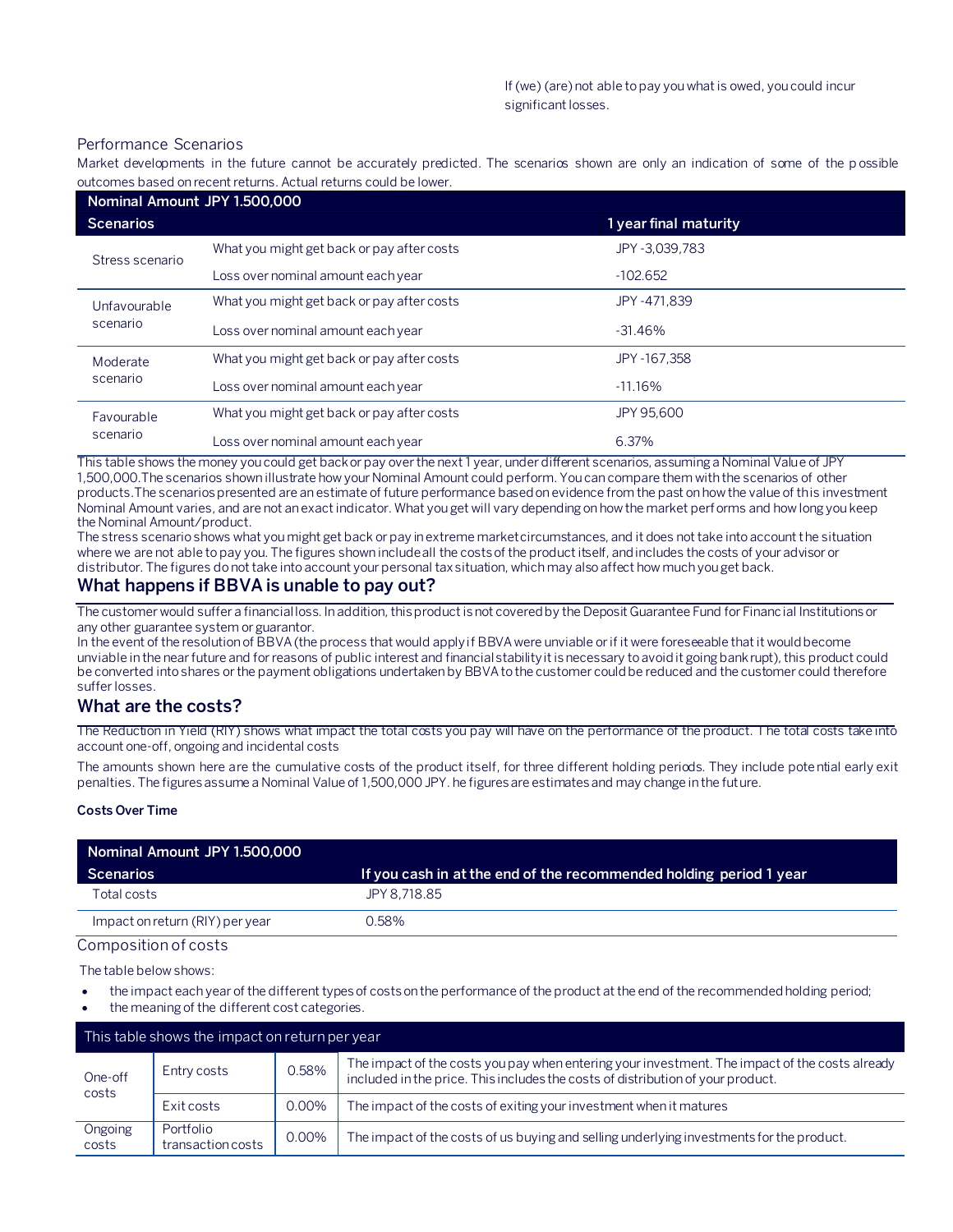#### Performance Scenarios

Market developments in the future cannot be accurately predicted. The scenarios shown are only an indication of some of the p ossible outcomes based on recent returns. Actual returns could be lower.

| Nominal Amount JPY 1.500,000 |                                            |                       |  |
|------------------------------|--------------------------------------------|-----------------------|--|
| <b>Scenarios</b>             |                                            | 1 year final maturity |  |
| Stress scenario              | What you might get back or pay after costs | JPY -3.039.783        |  |
|                              | Loss over nominal amount each year         | $-102.652$            |  |
| Unfavourable<br>scenario     | What you might get back or pay after costs | JPY -471.839          |  |
|                              | Loss over nominal amount each year         | $-31.46\%$            |  |
| Moderate<br>scenario         | What you might get back or pay after costs | JPY -167.358          |  |
|                              | Loss over nominal amount each year         | $-11.16%$             |  |
| Favourable<br>scenario       | What you might get back or pay after costs | JPY 95,600            |  |
|                              | Loss over nominal amount each year         | 6.37%                 |  |

This table shows the money you could get back or pay over the next 1 year, under different scenarios, assuming a Nominal Value of JPY 1,500,000.The scenarios shown illustrate how your Nominal Amount could perform. You can compare them with the scenarios of other products.The scenarios presented are an estimate of future performance based on evidence from the past on how the value of this investment Nominal Amount varies, and are not an exact indicator. What you get will vary depending on how the market performs and how long you keep the Nominal Amount/product.

The stress scenario shows what you might get back or pay in extreme market circumstances, and it does not take into account the situation where we are not able to pay you. The figures shown include all the costs of the product itself, and includes the costs of your advisor or distributor. The figures do not take into account your personal tax situation, which may also affect how much you get back.

## **What happens if BBVA is unable to pay out?**

The customer would suffer a financial loss. In addition, this product is not covered by the Deposit Guarantee Fund for Financial Institutions or any other guarantee system or guarantor.

In the event of the resolution of BBVA (the process that would apply if BBVA were unviable or if it were foreseeable that it would become unviable in the near future and for reasons of public interest and financial stability it is necessary to avoid it going bankrupt), this product could be converted into shares or the payment obligations undertaken by BBVA to the customer could be reduced and the customer could therefore suffer losses.

## **What are the costs?**

The Reduction in Yield (RIY) shows what impact the total costs you pay will have on the performance of the product. The total costs take into account one-off, ongoing and incidental costs

The amounts shown here are the cumulative costs of the product itself, for three different holding periods. They include potential early exit penalties. The figures assume a Nominal Value of 1,500,000 JPY. he figures are estimates and may change in the future.

#### **Costs Over Time**

| Nominal Amount JPY 1.500,000    |                                                                    |
|---------------------------------|--------------------------------------------------------------------|
| Scenarios                       | If you cash in at the end of the recommended holding period 1 year |
| Total costs                     | JPY 8.718.85                                                       |
| Impact on return (RIY) per year | 0.58%                                                              |

Composition of costs

The table below shows:

- the impact each year of the different types of costs on the performance of the product at the end of the recommended holding period;
- the meaning of the different cost categories.

| This table shows the impact on return per year |                                |       |                                                                                                                                                                                   |  |
|------------------------------------------------|--------------------------------|-------|-----------------------------------------------------------------------------------------------------------------------------------------------------------------------------------|--|
| One-off<br>costs                               | Entry costs                    | 0.58% | The impact of the costs you pay when entering your investment. The impact of the costs already<br>included in the price. This includes the costs of distribution of your product. |  |
|                                                | Exit costs                     | 0.00% | The impact of the costs of exiting your investment when it matures                                                                                                                |  |
| Ongoing<br>costs                               | Portfolio<br>transaction costs | 0.00% | The impact of the costs of us buying and selling underlying investments for the product.                                                                                          |  |